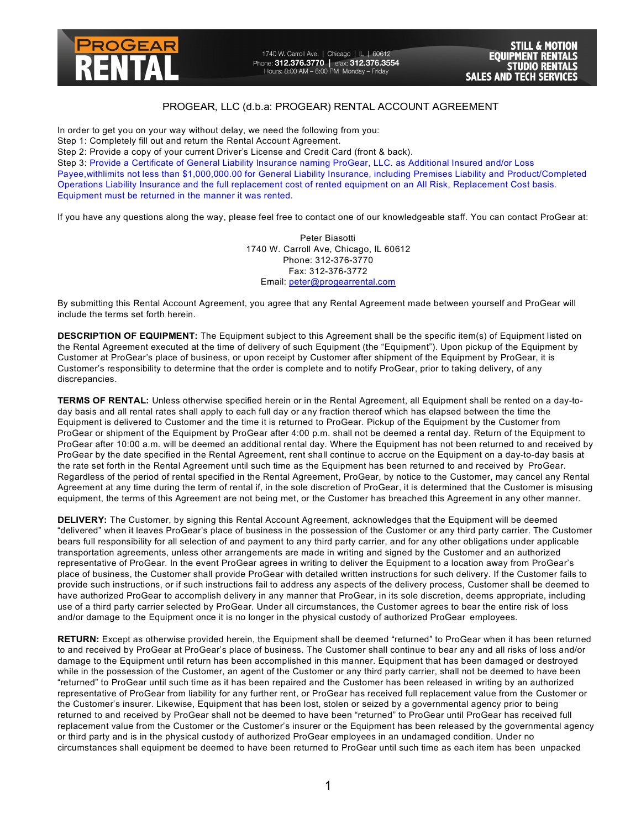

1740 W. Carroll Ave. | Chicago | IL | 60612 Phone: **312.376.3770** | efax: **312.376.3554**<br>Hours: 8:00 AM – 6:00 PM Monday – Friday

## PROGEAR, LLC (d.b.a: PROGEAR) RENTAL ACCOUNT AGREEMENT

In order to get you on your way without delay, we need the following from you:

Step 1: Completely fill out and return the Rental Account Agreement.

Step 2: Provide a copy of your current Driver's License and Credit Card (front & back).

Step 3: Provide a Certificate of General Liability Insurance naming ProGear, LLC. as Additional Insured and/or Loss Payee,withlimits not less than \$1,000,000.00 for General Liability Insurance, including Premises Liability and Product/Completed Operations Liability Insurance and the full replacement cost of rented equipment on an All Risk, Replacement Cost basis. Equipment must be returned in the manner it was rented.

If you have any questions along the way, please feel free to contact one of our knowledgeable staff. You can contact ProGear at:

Peter Biasotti 1740 W. Carroll Ave, Chicago, IL 60612 Phone: 312-376-3770 Fax: 312-376-3772 Email: peter@progearrental.com

By submitting this Rental Account Agreement, you agree that any Rental Agreement made between yourself and ProGear will include the terms set forth herein.

**DESCRIPTION OF EQUIPMENT:** The Equipment subject to this Agreement shall be the specific item(s) of Equipment listed on the Rental Agreement executed at the time of delivery of such Equipment (the "Equipment"). Upon pickup of the Equipment by Customer at ProGear's place of business, or upon receipt by Customer after shipment of the Equipment by ProGear, it is Customer's responsibility to determine that the order is complete and to notify ProGear, prior to taking delivery, of any discrepancies.

**TERMS OF RENTAL:** Unless otherwise specified herein or in the Rental Agreement, all Equipment shall be rented on a day-today basis and all rental rates shall apply to each full day or any fraction thereof which has elapsed between the time the Equipment is delivered to Customer and the time it is returned to ProGear. Pickup of the Equipment by the Customer from ProGear or shipment of the Equipment by ProGear after 4:00 p.m. shall not be deemed a rental day. Return of the Equipment to ProGear after 10:00 a.m. will be deemed an additional rental day. Where the Equipment has not been returned to and received by ProGear by the date specified in the Rental Agreement, rent shall continue to accrue on the Equipment on a day-to-day basis at the rate set forth in the Rental Agreement until such time as the Equipment has been returned to and received by ProGear. Regardless of the period of rental specified in the Rental Agreement, ProGear, by notice to the Customer, may cancel any Rental Agreement at any time during the term of rental if, in the sole discretion of ProGear, it is determined that the Customer is misusing equipment, the terms of this Agreement are not being met, or the Customer has breached this Agreement in any other manner.

**DELIVERY:** The Customer, by signing this Rental Account Agreement, acknowledges that the Equipment will be deemed "delivered" when it leaves ProGear's place of business in the possession of the Customer or any third party carrier. The Customer bears full responsibility for all selection of and payment to any third party carrier, and for any other obligations under applicable transportation agreements, unless other arrangements are made in writing and signed by the Customer and an authorized representative of ProGear. In the event ProGear agrees in writing to deliver the Equipment to a location away from ProGear's place of business, the Customer shall provide ProGear with detailed written instructions for such delivery. If the Customer fails to provide such instructions, or if such instructions fail to address any aspects of the delivery process, Customer shall be deemed to have authorized ProGear to accomplish delivery in any manner that ProGear, in its sole discretion, deems appropriate, including use of a third party carrier selected by ProGear. Under all circumstances, the Customer agrees to bear the entire risk of loss and/or damage to the Equipment once it is no longer in the physical custody of authorized ProGear employees.

**RETURN:** Except as otherwise provided herein, the Equipment shall be deemed "returned" to ProGear when it has been returned to and received by ProGear at ProGear's place of business. The Customer shall continue to bear any and all risks of loss and/or damage to the Equipment until return has been accomplished in this manner. Equipment that has been damaged or destroyed while in the possession of the Customer, an agent of the Customer or any third party carrier, shall not be deemed to have been "returned" to ProGear until such time as it has been repaired and the Customer has been released in writing by an authorized representative of ProGear from liability for any further rent, or ProGear has received full replacement value from the Customer or the Customer's insurer. Likewise, Equipment that has been lost, stolen or seized by a governmental agency prior to being returned to and received by ProGear shall not be deemed to have been "returned" to ProGear until ProGear has received full replacement value from the Customer or the Customer's insurer or the Equipment has been released by the governmental agency or third party and is in the physical custody of authorized ProGear employees in an undamaged condition. Under no circumstances shall equipment be deemed to have been returned to ProGear until such time as each item has been unpacked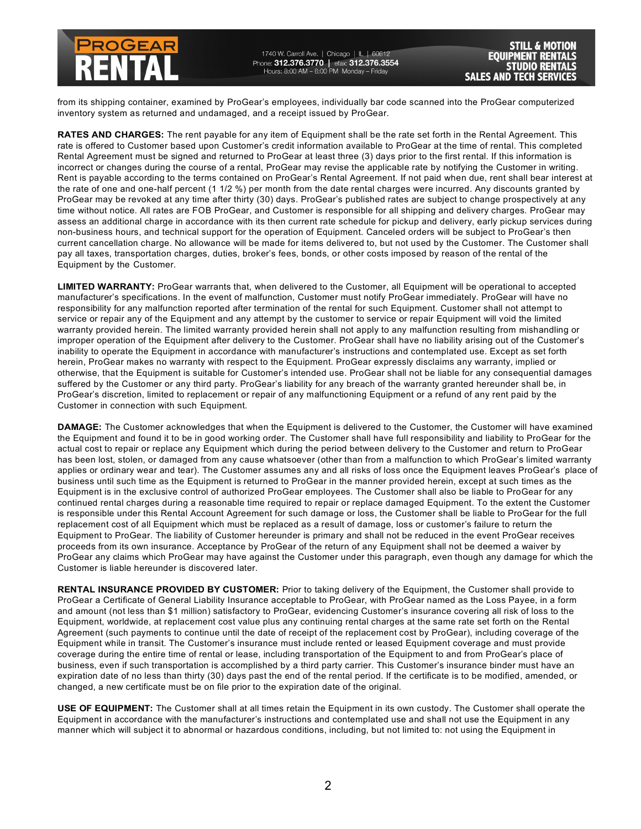

1740 W. Carroll Ave. | Chicago | IL | 60612 Phone: 312.376.3770 | efax: 312.376.3554<br>Hours: 8:00 AM - 6:00 PM Monday - Friday

**STILL & MOTION EOUIPMENT RENTALS** STUDIO **SALES AND** TECH SERVICES

from its shipping container, examined by ProGear's employees, individually bar code scanned into the ProGear computerized inventory system as returned and undamaged, and a receipt issued by ProGear.

**RATES AND CHARGES:** The rent payable for any item of Equipment shall be the rate set forth in the Rental Agreement. This rate is offered to Customer based upon Customer's credit information available to ProGear at the time of rental. This completed Rental Agreement must be signed and returned to ProGear at least three (3) days prior to the first rental. If this information is incorrect or changes during the course of a rental, ProGear may revise the applicable rate by notifying the Customer in writing. Rent is payable according to the terms contained on ProGear's Rental Agreement. If not paid when due, rent shall bear interest at the rate of one and one-half percent (1 1/2 %) per month from the date rental charges were incurred. Any discounts granted by ProGear may be revoked at any time after thirty (30) days. ProGear's published rates are subject to change prospectively at any time without notice. All rates are FOB ProGear, and Customer is responsible for all shipping and delivery charges. ProGear may assess an additional charge in accordance with its then current rate schedule for pickup and delivery, early pickup services during non-business hours, and technical support for the operation of Equipment. Canceled orders will be subject to ProGear's then current cancellation charge. No allowance will be made for items delivered to, but not used by the Customer. The Customer shall pay all taxes, transportation charges, duties, broker's fees, bonds, or other costs imposed by reason of the rental of the Equipment by the Customer.

**LIMITED WARRANTY:** ProGear warrants that, when delivered to the Customer, all Equipment will be operational to accepted manufacturer's specifications. In the event of malfunction, Customer must notify ProGear immediately. ProGear will have no responsibility for any malfunction reported after termination of the rental for such Equipment. Customer shall not attempt to service or repair any of the Equipment and any attempt by the customer to service or repair Equipment will void the limited warranty provided herein. The limited warranty provided herein shall not apply to any malfunction resulting from mishandling or improper operation of the Equipment after delivery to the Customer. ProGear shall have no liability arising out of the Customer's inability to operate the Equipment in accordance with manufacturer's instructions and contemplated use. Except as set forth herein, ProGear makes no warranty with respect to the Equipment. ProGear expressly disclaims any warranty, implied or otherwise, that the Equipment is suitable for Customer's intended use. ProGear shall not be liable for any consequential damages suffered by the Customer or any third party. ProGear's liability for any breach of the warranty granted hereunder shall be, in ProGear's discretion, limited to replacement or repair of any malfunctioning Equipment or a refund of any rent paid by the Customer in connection with such Equipment.

**DAMAGE:** The Customer acknowledges that when the Equipment is delivered to the Customer, the Customer will have examined the Equipment and found it to be in good working order. The Customer shall have full responsibility and liability to ProGear for the actual cost to repair or replace any Equipment which during the period between delivery to the Customer and return to ProGear has been lost, stolen, or damaged from any cause whatsoever (other than from a malfunction to which ProGear's limited warranty applies or ordinary wear and tear). The Customer assumes any and all risks of loss once the Equipment leaves ProGear's place of business until such time as the Equipment is returned to ProGear in the manner provided herein, except at such times as the Equipment is in the exclusive control of authorized ProGear employees. The Customer shall also be liable to ProGear for any continued rental charges during a reasonable time required to repair or replace damaged Equipment. To the extent the Customer is responsible under this Rental Account Agreement for such damage or loss, the Customer shall be liable to ProGear for the full replacement cost of all Equipment which must be replaced as a result of damage, loss or customer's failure to return the Equipment to ProGear. The liability of Customer hereunder is primary and shall not be reduced in the event ProGear receives proceeds from its own insurance. Acceptance by ProGear of the return of any Equipment shall not be deemed a waiver by ProGear any claims which ProGear may have against the Customer under this paragraph, even though any damage for which the Customer is liable hereunder is discovered later.

**RENTAL INSURANCE PROVIDED BY CUSTOMER:** Prior to taking delivery of the Equipment, the Customer shall provide to ProGear a Certificate of General Liability Insurance acceptable to ProGear, with ProGear named as the Loss Payee, in a form and amount (not less than \$1 million) satisfactory to ProGear, evidencing Customer's insurance covering all risk of loss to the Equipment, worldwide, at replacement cost value plus any continuing rental charges at the same rate set forth on the Rental Agreement (such payments to continue until the date of receipt of the replacement cost by ProGear), including coverage of the Equipment while in transit. The Customer's insurance must include rented or leased Equipment coverage and must provide coverage during the entire time of rental or lease, including transportation of the Equipment to and from ProGear's place of business, even if such transportation is accomplished by a third party carrier. This Customer's insurance binder must have an expiration date of no less than thirty (30) days past the end of the rental period. If the certificate is to be modified, amended, or changed, a new certificate must be on file prior to the expiration date of the original.

**USE OF EQUIPMENT:** The Customer shall at all times retain the Equipment in its own custody. The Customer shall operate the Equipment in accordance with the manufacturer's instructions and contemplated use and shall not use the Equipment in any manner which will subject it to abnormal or hazardous conditions, including, but not limited to: not using the Equipment in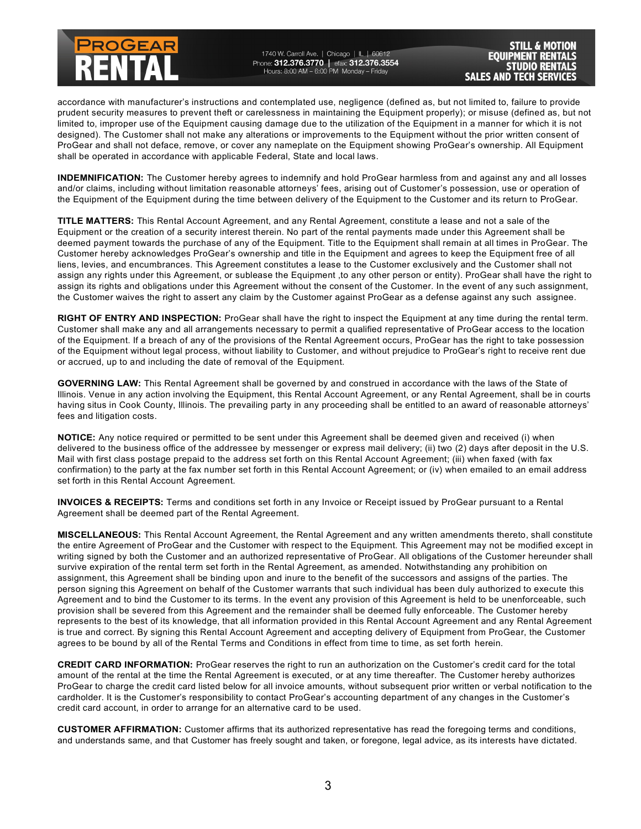

1740 W. Carroll Ave. | Chicago | IL | 60612 Phone: **312.376.3770** | efax: **312.376.3554**<br>Hours: 8:00 AM – 6:00 PM Monday – Friday

**STILL & MOTION EQUIPMENT RENTALS STUDIO RENTALS SALES AND TECH SERVICES** 

accordance with manufacturer's instructions and contemplated use, negligence (defined as, but not limited to, failure to provide prudent security measures to prevent theft or carelessness in maintaining the Equipment properly); or misuse (defined as, but not limited to, improper use of the Equipment causing damage due to the utilization of the Equipment in a manner for which it is not designed). The Customer shall not make any alterations or improvements to the Equipment without the prior written consent of ProGear and shall not deface, remove, or cover any nameplate on the Equipment showing ProGear's ownership. All Equipment shall be operated in accordance with applicable Federal, State and local laws.

**INDEMNIFICATION:** The Customer hereby agrees to indemnify and hold ProGear harmless from and against any and all losses and/or claims, including without limitation reasonable attorneys' fees, arising out of Customer's possession, use or operation of the Equipment of the Equipment during the time between delivery of the Equipment to the Customer and its return to ProGear.

**TITLE MATTERS:** This Rental Account Agreement, and any Rental Agreement, constitute a lease and not a sale of the Equipment or the creation of a security interest therein. No part of the rental payments made under this Agreement shall be deemed payment towards the purchase of any of the Equipment. Title to the Equipment shall remain at all times in ProGear. The Customer hereby acknowledges ProGear's ownership and title in the Equipment and agrees to keep the Equipment free of all liens, levies, and encumbrances. This Agreement constitutes a lease to the Customer exclusively and the Customer shall not assign any rights under this Agreement, or sublease the Equipment ,to any other person or entity). ProGear shall have the right to assign its rights and obligations under this Agreement without the consent of the Customer. In the event of any such assignment, the Customer waives the right to assert any claim by the Customer against ProGear as a defense against any such assignee.

**RIGHT OF ENTRY AND INSPECTION:** ProGear shall have the right to inspect the Equipment at any time during the rental term. Customer shall make any and all arrangements necessary to permit a qualified representative of ProGear access to the location of the Equipment. If a breach of any of the provisions of the Rental Agreement occurs, ProGear has the right to take possession of the Equipment without legal process, without liability to Customer, and without prejudice to ProGear's right to receive rent due or accrued, up to and including the date of removal of the Equipment.

**GOVERNING LAW:** This Rental Agreement shall be governed by and construed in accordance with the laws of the State of Illinois. Venue in any action involving the Equipment, this Rental Account Agreement, or any Rental Agreement, shall be in courts having situs in Cook County, Illinois. The prevailing party in any proceeding shall be entitled to an award of reasonable attorneys' fees and litigation costs.

**NOTICE:** Any notice required or permitted to be sent under this Agreement shall be deemed given and received (i) when delivered to the business office of the addressee by messenger or express mail delivery; (ii) two (2) days after deposit in the U.S. Mail with first class postage prepaid to the address set forth on this Rental Account Agreement; (iii) when faxed (with fax confirmation) to the party at the fax number set forth in this Rental Account Agreement; or (iv) when emailed to an email address set forth in this Rental Account Agreement.

**INVOICES & RECEIPTS:** Terms and conditions set forth in any Invoice or Receipt issued by ProGear pursuant to a Rental Agreement shall be deemed part of the Rental Agreement.

**MISCELLANEOUS:** This Rental Account Agreement, the Rental Agreement and any written amendments thereto, shall constitute the entire Agreement of ProGear and the Customer with respect to the Equipment. This Agreement may not be modified except in writing signed by both the Customer and an authorized representative of ProGear. All obligations of the Customer hereunder shall survive expiration of the rental term set forth in the Rental Agreement, as amended. Notwithstanding any prohibition on assignment, this Agreement shall be binding upon and inure to the benefit of the successors and assigns of the parties. The person signing this Agreement on behalf of the Customer warrants that such individual has been duly authorized to execute this Agreement and to bind the Customer to its terms. In the event any provision of this Agreement is held to be unenforceable, such provision shall be severed from this Agreement and the remainder shall be deemed fully enforceable. The Customer hereby represents to the best of its knowledge, that all information provided in this Rental Account Agreement and any Rental Agreement is true and correct. By signing this Rental Account Agreement and accepting delivery of Equipment from ProGear, the Customer agrees to be bound by all of the Rental Terms and Conditions in effect from time to time, as set forth herein.

**CREDIT CARD INFORMATION:** ProGear reserves the right to run an authorization on the Customer's credit card for the total amount of the rental at the time the Rental Agreement is executed, or at any time thereafter. The Customer hereby authorizes ProGear to charge the credit card listed below for all invoice amounts, without subsequent prior written or verbal notification to the cardholder. It is the Customer's responsibility to contact ProGear's accounting department of any changes in the Customer's credit card account, in order to arrange for an alternative card to be used.

**CUSTOMER AFFIRMATION:** Customer affirms that its authorized representative has read the foregoing terms and conditions, and understands same, and that Customer has freely sought and taken, or foregone, legal advice, as its interests have dictated.